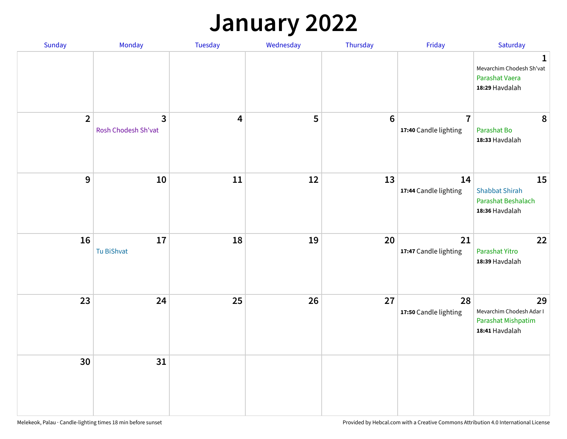## **January 2022**

| Sunday         | Monday                              | Tuesday                 | Wednesday | Thursday         | Friday                                  | Saturday                                                                     |
|----------------|-------------------------------------|-------------------------|-----------|------------------|-----------------------------------------|------------------------------------------------------------------------------|
|                |                                     |                         |           |                  |                                         | $\mathbf{1}$<br>Mevarchim Chodesh Sh'vat<br>Parashat Vaera<br>18:29 Havdalah |
| $\overline{2}$ | $\mathbf{3}$<br>Rosh Chodesh Sh'vat | $\overline{\mathbf{4}}$ | 5         | $\boldsymbol{6}$ | $\overline{7}$<br>17:40 Candle lighting | 8<br>Parashat Bo<br>18:33 Havdalah                                           |
| $\mathbf{9}$   | 10                                  | $11\,$                  | 12        | 13               | 14<br>17:44 Candle lighting             | 15<br><b>Shabbat Shirah</b><br>Parashat Beshalach<br>18:36 Havdalah          |
| 16             | 17<br><b>Tu BiShvat</b>             | 18                      | 19        | 20               | 21<br>17:47 Candle lighting             | 22<br>Parashat Yitro<br>18:39 Havdalah                                       |
| 23             | 24                                  | 25                      | 26        | 27               | 28<br>17:50 Candle lighting             | 29<br>Mevarchim Chodesh Adar I<br>Parashat Mishpatim<br>18:41 Havdalah       |
| 30             | 31                                  |                         |           |                  |                                         |                                                                              |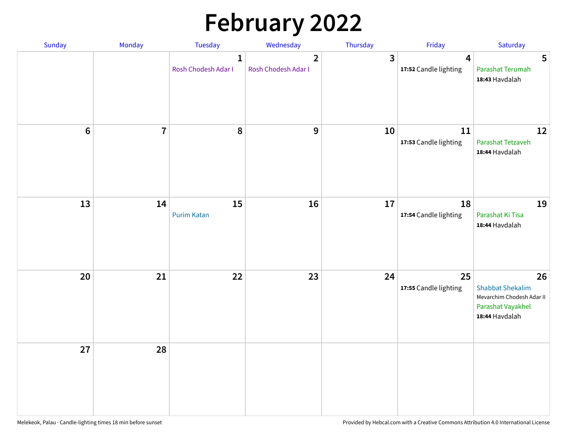# **February 2022**

| Sunday           | Monday         | Tuesday                             | Wednesday                             | Thursday     | Friday                                  | Saturday                                                                                          |
|------------------|----------------|-------------------------------------|---------------------------------------|--------------|-----------------------------------------|---------------------------------------------------------------------------------------------------|
|                  |                | $\mathbf{1}$<br>Rosh Chodesh Adar I | $\overline{2}$<br>Rosh Chodesh Adar I | $\mathbf{3}$ | $\overline{4}$<br>17:52 Candle lighting | $5\phantom{.0}$<br>Parashat Terumah<br>18:43 Havdalah                                             |
| $\boldsymbol{6}$ | $\overline{7}$ | 8                                   | $\boldsymbol{9}$                      | 10           | 11<br>17:53 Candle lighting             | 12<br>Parashat Tetzaveh<br>18:44 Havdalah                                                         |
| 13               | 14             | 15<br><b>Purim Katan</b>            | 16                                    | 17           | 18<br>17:54 Candle lighting             | 19<br>Parashat Ki Tisa<br>18:44 Havdalah                                                          |
| 20               | 21             | 22                                  | 23                                    | 24           | 25<br>17:55 Candle lighting             | 26<br><b>Shabbat Shekalim</b><br>Mevarchim Chodesh Adar II<br>Parashat Vayakhel<br>18:44 Havdalah |
| 27               | 28             |                                     |                                       |              |                                         |                                                                                                   |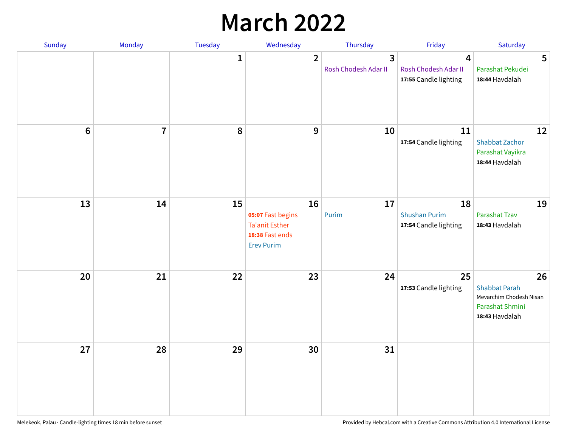## **March 2022**

| Sunday | Monday         | <b>Tuesday</b> | Wednesday                                                                         | Thursday                  | Friday                                                                   | Saturday                                                                                   |
|--------|----------------|----------------|-----------------------------------------------------------------------------------|---------------------------|--------------------------------------------------------------------------|--------------------------------------------------------------------------------------------|
|        |                | $\mathbf{1}$   | $\overline{2}$                                                                    | 3<br>Rosh Chodesh Adar II | $\overline{\mathbf{4}}$<br>Rosh Chodesh Adar II<br>17:55 Candle lighting | 5<br>Parashat Pekudei<br>18:44 Havdalah                                                    |
| $6\,$  | $\overline{7}$ | 8              | 9                                                                                 | 10                        | 11<br>17:54 Candle lighting                                              | 12<br><b>Shabbat Zachor</b><br>Parashat Vayikra<br>18:44 Havdalah                          |
| 13     | 14             | 15             | 16<br>05:07 Fast begins<br>Ta'anit Esther<br>18:38 Fast ends<br><b>Erev Purim</b> | 17<br>Purim               | 18<br><b>Shushan Purim</b><br>17:54 Candle lighting                      | 19<br>Parashat Tzav<br>18:43 Havdalah                                                      |
| 20     | 21             | 22             | 23                                                                                | 24                        | 25<br>17:53 Candle lighting                                              | 26<br><b>Shabbat Parah</b><br>Mevarchim Chodesh Nisan<br>Parashat Shmini<br>18:43 Havdalah |
| 27     | 28             | 29             | 30                                                                                | 31                        |                                                                          |                                                                                            |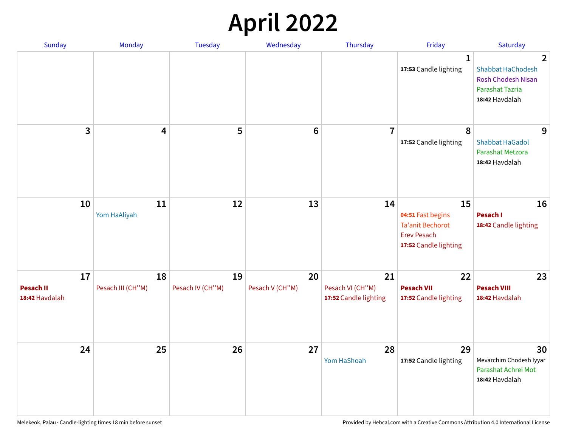## **April 2022**

| <b>Sunday</b>                            | Monday                  | Tuesday                | Wednesday             | Thursday                                        | Friday                                                                                            | Saturday                                                                                                            |
|------------------------------------------|-------------------------|------------------------|-----------------------|-------------------------------------------------|---------------------------------------------------------------------------------------------------|---------------------------------------------------------------------------------------------------------------------|
|                                          |                         |                        |                       |                                                 | 1<br>17:53 Candle lighting                                                                        | $\overline{2}$<br><b>Shabbat HaChodesh</b><br><b>Rosh Chodesh Nisan</b><br><b>Parashat Tazria</b><br>18:42 Havdalah |
| 3                                        | 4                       | 5                      | $6\phantom{1}$        | $\overline{7}$                                  | 8<br>17:52 Candle lighting                                                                        | 9<br><b>Shabbat HaGadol</b><br>Parashat Metzora<br>18:42 Havdalah                                                   |
| 10                                       | 11<br>Yom HaAliyah      | 12                     | 13                    | 14                                              | 15<br>04:51 Fast begins<br><b>Ta'anit Bechorot</b><br><b>Erev Pesach</b><br>17:52 Candle lighting | 16<br>Pesach I<br>18:42 Candle lighting                                                                             |
| 17<br><b>Pesach II</b><br>18:42 Havdalah | 18<br>Pesach III (CH"M) | 19<br>Pesach IV (CH"M) | 20<br>Pesach V (CH"M) | 21<br>Pesach VI (CH"M)<br>17:52 Candle lighting | 22<br><b>Pesach VII</b><br>17:52 Candle lighting                                                  | 23<br><b>Pesach VIII</b><br>18:42 Havdalah                                                                          |
| 24                                       | 25                      | 26                     | 27                    | 28<br>Yom HaShoah                               | 29<br>17:52 Candle lighting                                                                       | 30<br>Mevarchim Chodesh Iyyar<br>Parashat Achrei Mot<br>18:42 Havdalah                                              |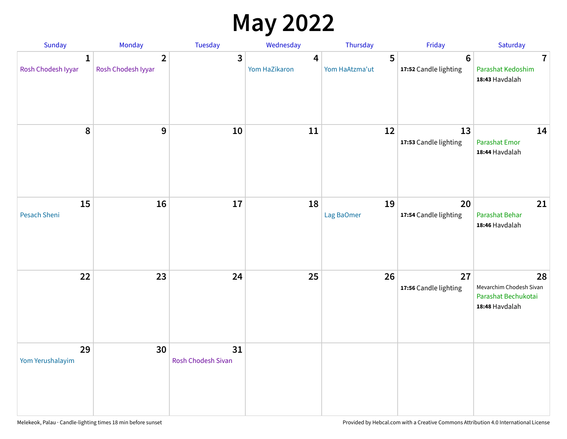## **May 2022**

| Sunday                             | Monday                               | Tuesday                         | Wednesday          | Thursday            | Friday                                   | Saturday                                                               |
|------------------------------------|--------------------------------------|---------------------------------|--------------------|---------------------|------------------------------------------|------------------------------------------------------------------------|
| $\mathbf{1}$<br>Rosh Chodesh Iyyar | $\overline{2}$<br>Rosh Chodesh Iyyar | 3                               | 4<br>Yom HaZikaron | 5<br>Yom HaAtzma'ut | $6\phantom{1}6$<br>17:52 Candle lighting | $\overline{7}$<br>Parashat Kedoshim<br>18:43 Havdalah                  |
| $\pmb{8}$                          | $\mathbf{9}$                         | 10                              | 11                 | 12                  | 13<br>17:53 Candle lighting              | 14<br><b>Parashat Emor</b><br>18:44 Havdalah                           |
| 15<br>Pesach Sheni                 | 16                                   | 17                              | 18                 | 19<br>Lag BaOmer    | 20<br>17:54 Candle lighting              | 21<br>Parashat Behar<br>18:46 Havdalah                                 |
| 22                                 | 23                                   | 24                              | 25                 | 26                  | 27<br>17:56 Candle lighting              | 28<br>Mevarchim Chodesh Sivan<br>Parashat Bechukotai<br>18:48 Havdalah |
| 29<br>Yom Yerushalayim             | 30                                   | 31<br><b>Rosh Chodesh Sivan</b> |                    |                     |                                          |                                                                        |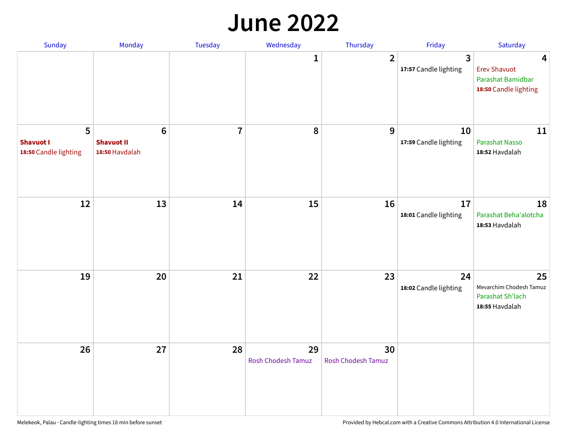#### **June 2022**

| Sunday                                         | Monday                                                | Tuesday        | Wednesday                | Thursday                        | Friday                      | Saturday                                                               |
|------------------------------------------------|-------------------------------------------------------|----------------|--------------------------|---------------------------------|-----------------------------|------------------------------------------------------------------------|
|                                                |                                                       |                | 1                        | $\overline{2}$                  | 3<br>17:57 Candle lighting  | 4<br><b>Erev Shavuot</b><br>Parashat Bamidbar<br>18:50 Candle lighting |
| 5<br><b>Shavuot I</b><br>18:50 Candle lighting | $6\phantom{1}$<br><b>Shavuot II</b><br>18:50 Havdalah | $\overline{7}$ | 8                        | 9                               | 10<br>17:59 Candle lighting | 11<br>Parashat Nasso<br>18:52 Havdalah                                 |
| 12                                             | 13                                                    | 14             | 15                       | 16                              | 17<br>18:01 Candle lighting | 18<br>Parashat Beha'alotcha<br>18:53 Havdalah                          |
| 19                                             | 20                                                    | 21             | 22                       | 23                              | 24<br>18:02 Candle lighting | 25<br>Mevarchim Chodesh Tamuz<br>Parashat Sh'lach<br>18:55 Havdalah    |
| 26                                             | 27                                                    | 28             | 29<br>Rosh Chodesh Tamuz | 30<br><b>Rosh Chodesh Tamuz</b> |                             |                                                                        |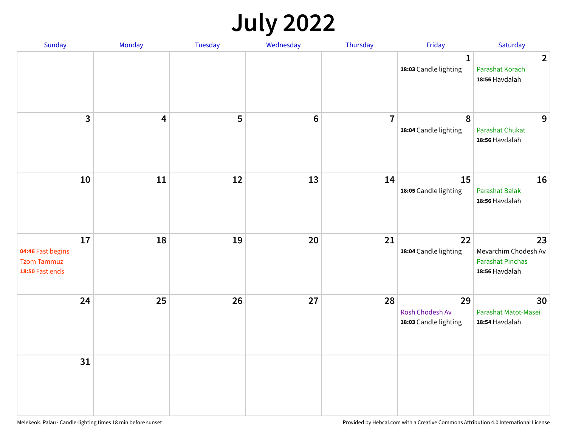## **July 2022**

| Sunday                                                           | Monday     | Tuesday | Wednesday | Thursday       | Friday                                                | Saturday                                                                |
|------------------------------------------------------------------|------------|---------|-----------|----------------|-------------------------------------------------------|-------------------------------------------------------------------------|
|                                                                  |            |         |           |                | $\mathbf{1}$<br>18:03 Candle lighting                 | $\overline{2}$<br>Parashat Korach<br>18:56 Havdalah                     |
| $\overline{\mathbf{3}}$                                          | 4          | 5       | $\bf 6$   | $\overline{7}$ | 8<br>18:04 Candle lighting                            | 9<br><b>Parashat Chukat</b><br>18:56 Havdalah                           |
| 10                                                               | ${\bf 11}$ | 12      | 13        | 14             | 15<br>18:05 Candle lighting                           | 16<br><b>Parashat Balak</b><br>18:56 Havdalah                           |
| 17<br>04:46 Fast begins<br><b>Tzom Tammuz</b><br>18:50 Fast ends | 18         | 19      | 20        | 21             | 22<br>18:04 Candle lighting                           | 23<br>Mevarchim Chodesh Av<br><b>Parashat Pinchas</b><br>18:56 Havdalah |
| 24                                                               | 25         | 26      | 27        | 28             | 29<br><b>Rosh Chodesh Av</b><br>18:03 Candle lighting | 30<br>Parashat Matot-Masei<br>18:54 Havdalah                            |
| 31                                                               |            |         |           |                |                                                       |                                                                         |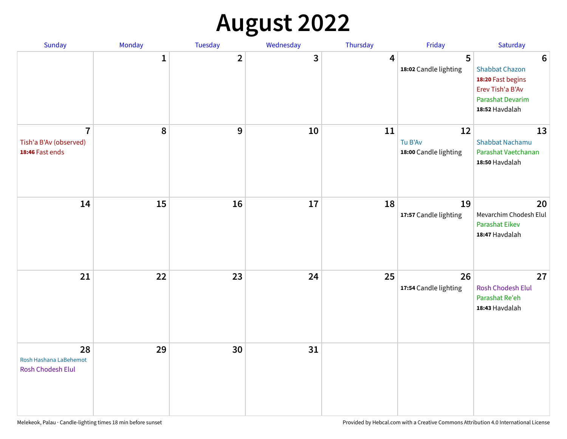## **August 2022**

| Sunday                                                      | Monday       | Tuesday                 | Wednesday | Thursday | Friday                                 | Saturday                                                                                                                       |
|-------------------------------------------------------------|--------------|-------------------------|-----------|----------|----------------------------------------|--------------------------------------------------------------------------------------------------------------------------------|
|                                                             | $\mathbf{1}$ | $\overline{\mathbf{2}}$ | 3         | 4        | 5<br>18:02 Candle lighting             | $6\phantom{1}6$<br><b>Shabbat Chazon</b><br>18:20 Fast begins<br>Erev Tish'a B'Av<br><b>Parashat Devarim</b><br>18:52 Havdalah |
| $\overline{7}$<br>Tish'a B'Av (observed)<br>18:46 Fast ends | 8            | 9                       | 10        | 11       | 12<br>Tu B'Av<br>18:00 Candle lighting | 13<br><b>Shabbat Nachamu</b><br>Parashat Vaetchanan<br>18:50 Havdalah                                                          |
| 14                                                          | 15           | 16                      | 17        | 18       | 19<br>17:57 Candle lighting            | 20<br>Mevarchim Chodesh Elul<br><b>Parashat Eikev</b><br>18:47 Havdalah                                                        |
| 21                                                          | 22           | 23                      | 24        | 25       | 26<br>17:54 Candle lighting            | 27<br><b>Rosh Chodesh Elul</b><br>Parashat Re'eh<br>18:43 Havdalah                                                             |
| 28<br>Rosh Hashana LaBehemot<br>Rosh Chodesh Elul           | 29           | 30                      | 31        |          |                                        |                                                                                                                                |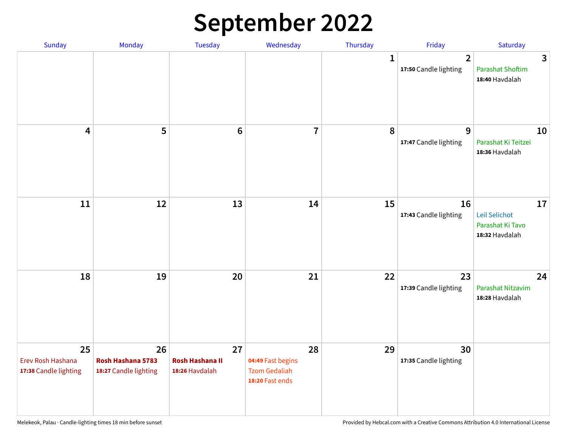## **September 2022**

| Sunday                                           | Monday                                           | Tuesday                                        | Wednesday                                                          | Thursday     | Friday                                  | Saturday                                                  |
|--------------------------------------------------|--------------------------------------------------|------------------------------------------------|--------------------------------------------------------------------|--------------|-----------------------------------------|-----------------------------------------------------------|
|                                                  |                                                  |                                                |                                                                    | $\mathbf{1}$ | $\overline{2}$<br>17:50 Candle lighting | 3<br><b>Parashat Shoftim</b><br>18:40 Havdalah            |
| $\overline{\mathbf{4}}$                          | 5                                                | $6\phantom{1}6$                                | $\overline{7}$                                                     | 8            | 9<br>17:47 Candle lighting              | 10<br>Parashat Ki Teitzei<br>18:36 Havdalah               |
| $11\,$                                           | 12                                               | 13                                             | 14                                                                 | 15           | 16<br>17:43 Candle lighting             | 17<br>Leil Selichot<br>Parashat Ki Tavo<br>18:32 Havdalah |
| 18                                               | 19                                               | 20                                             | 21                                                                 | 22           | 23<br>17:39 Candle lighting             | 24<br>Parashat Nitzavim<br>18:28 Havdalah                 |
| 25<br>Erev Rosh Hashana<br>17:38 Candle lighting | 26<br>Rosh Hashana 5783<br>18:27 Candle lighting | 27<br><b>Rosh Hashana II</b><br>18:26 Havdalah | 28<br>04:49 Fast begins<br><b>Tzom Gedaliah</b><br>18:20 Fast ends | 29           | 30<br>17:35 Candle lighting             |                                                           |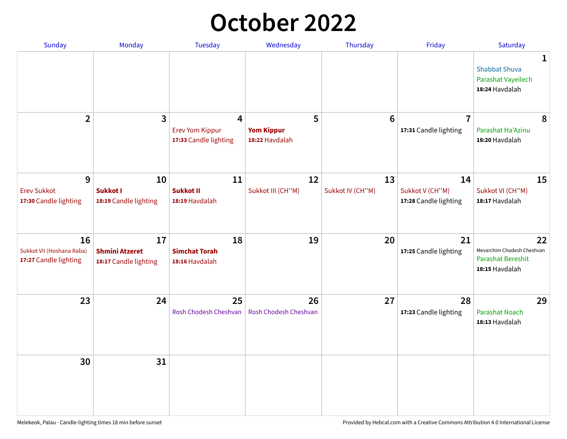## **October 2022**

| Sunday                                                   | Monday                                               | <b>Tuesday</b>                                                    | Wednesday                                | Thursday               | Friday                                         | Saturday                                                                |
|----------------------------------------------------------|------------------------------------------------------|-------------------------------------------------------------------|------------------------------------------|------------------------|------------------------------------------------|-------------------------------------------------------------------------|
|                                                          |                                                      |                                                                   |                                          |                        |                                                | 1<br><b>Shabbat Shuva</b><br>Parashat Vayeilech<br>18:24 Havdalah       |
| $\overline{2}$                                           | $\overline{\mathbf{3}}$                              | $\overline{4}$<br><b>Erev Yom Kippur</b><br>17:33 Candle lighting | 5<br><b>Yom Kippur</b><br>18:22 Havdalah | 6                      | $\overline{7}$<br>17:31 Candle lighting        | 8<br>Parashat Ha'Azinu<br>18:20 Havdalah                                |
| 9<br><b>Erev Sukkot</b><br>17:30 Candle lighting         | 10<br><b>Sukkot I</b><br>18:19 Candle lighting       | 11<br><b>Sukkot II</b><br>18:19 Havdalah                          | 12<br>Sukkot III (CH"M)                  | 13<br>Sukkot IV (CH"M) | 14<br>Sukkot V (CH"M)<br>17:28 Candle lighting | 15<br>Sukkot VI (CH"M)<br>18:17 Havdalah                                |
| 16<br>Sukkot VII (Hoshana Raba)<br>17:27 Candle lighting | 17<br><b>Shmini Atzeret</b><br>18:17 Candle lighting | 18<br><b>Simchat Torah</b><br>18:16 Havdalah                      | 19                                       | 20                     | 21<br>17:25 Candle lighting                    | 22<br>Mevarchim Chodesh Cheshvan<br>Parashat Bereshit<br>18:15 Havdalah |
| 23                                                       | 24                                                   | 25<br>Rosh Chodesh Cheshvan                                       | 26<br>Rosh Chodesh Cheshvan              | 27                     | 28<br>17:23 Candle lighting                    | 29<br><b>Parashat Noach</b><br>18:13 Havdalah                           |
| 30                                                       | 31                                                   |                                                                   |                                          |                        |                                                |                                                                         |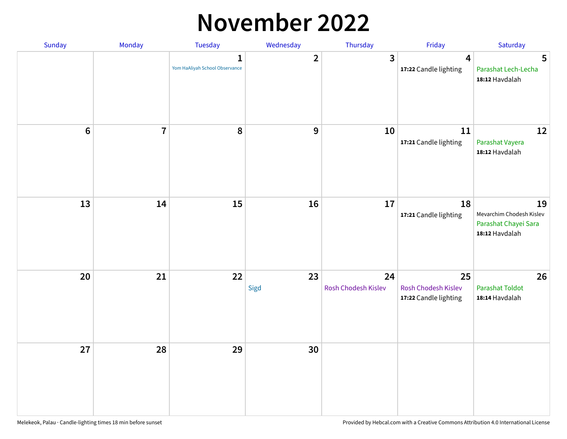#### **November 2022**

| Sunday  | Monday         | Tuesday                             | Wednesday    | Thursday                  | Friday                                             | Saturday                                                                 |
|---------|----------------|-------------------------------------|--------------|---------------------------|----------------------------------------------------|--------------------------------------------------------------------------|
|         |                | 1<br>Yom HaAliyah School Observance | $\mathbf{2}$ | 3                         | $\overline{\mathbf{4}}$<br>17:22 Candle lighting   | $5\phantom{1}$<br>Parashat Lech-Lecha<br>18:12 Havdalah                  |
| $\bf 6$ | $\overline{7}$ | 8                                   | $\mathbf 9$  | 10                        | 11<br>17:21 Candle lighting                        | 12<br>Parashat Vayera<br>18:12 Havdalah                                  |
| 13      | 14             | 15                                  | 16           | 17                        | 18<br>17:21 Candle lighting                        | 19<br>Mevarchim Chodesh Kislev<br>Parashat Chayei Sara<br>18:12 Havdalah |
| 20      | 21             | 22                                  | 23<br>Sigd   | 24<br>Rosh Chodesh Kislev | 25<br>Rosh Chodesh Kislev<br>17:22 Candle lighting | 26<br><b>Parashat Toldot</b><br>18:14 Havdalah                           |
| 27      | 28             | 29                                  | 30           |                           |                                                    |                                                                          |